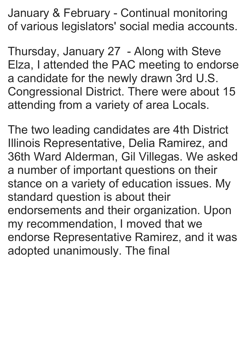January & February - Continual monitoring of various legislators' social media accounts.

Thursday, January 27 - Along with Steve Elza, I attended the PAC meeting to endorse a candidate for the newly drawn 3rd U.S. Congressional District. There were about 15 attending from a variety of area Locals.

The two leading candidates are 4th District Illinois Representative, Delia Ramirez, and 36th Ward Alderman, Gil Villegas. We asked a number of important questions on their stance on a variety of education issues. My standard question is about their endorsements and their organization. Upon my recommendation, I moved that we endorse Representative Ramirez, and it was adopted unanimously. The final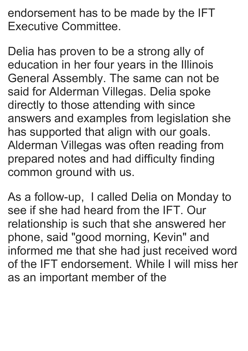endorsement has to be made by the IFT Executive Committee.

Delia has proven to be a strong ally of education in her four years in the Illinois General Assembly. The same can not be said for Alderman Villegas. Delia spoke directly to those attending with since answers and examples from legislation she has supported that align with our goals. Alderman Villegas was often reading from prepared notes and had difficulty finding common ground with us.

As a follow-up, I called Delia on Monday to see if she had heard from the IFT. Our relationship is such that she answered her phone, said "good morning, Kevin" and informed me that she had just received word of the IFT endorsement. While I will miss her as an important member of the